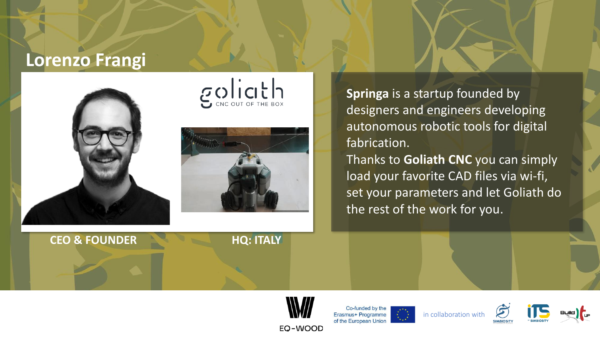#### **Lorenzo Frangi**



 $g_{\text{cyc}}$ 



**Springa** is a startup founded by designers and engineers developing autonomous robotic tools for digital fabrication.

Thanks to **Goliath CNC** you can simply load your favorite CAD files via wi-fi, set your parameters and let Goliath do the rest of the work for you.







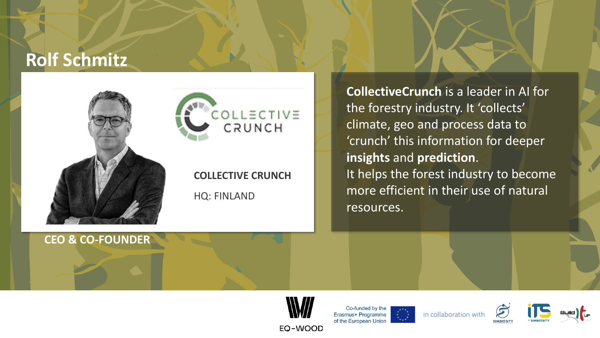#### **Rolf Schmitz**



**CEO & CO-FOUNDER**

# COLLECTIVE CRUNCH

**COLLECTIVE CRUNCH** HQ: FINLAND

**CollectiveCrunch** is a leader in AI for the forestry industry. It 'collects' climate, geo and process data to 'crunch' this information for deeper **insights** and **prediction**. It helps the forest industry to become more efficient in their use of natural resources.









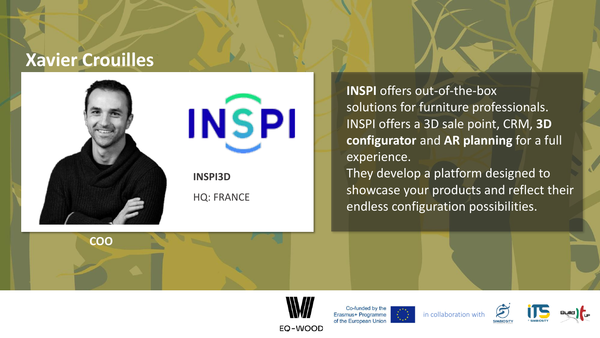### **Xavier Crouilles**



**COO**

**INSPI** 

**INSPI3D** HQ: FRANCE

**INSPI** offers out-of-the-box solutions for furniture professionals. INSPI offers a 3D sale point, CRM, **3D configurator** and **AR planning** for a full experience.

They develop a platform designed to showcase your products and reflect their endless configuration possibilities.